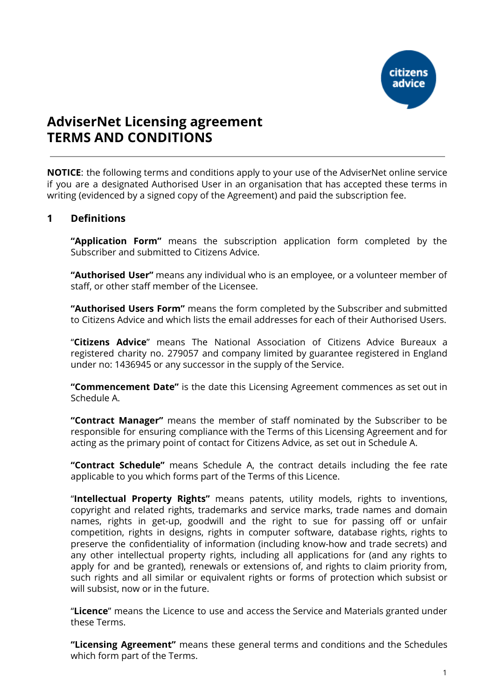

# **AdviserNet Licensing agreement TERMS AND CONDITIONS**

**NOTICE**: the following terms and conditions apply to your use of the AdviserNet online service if you are a designated Authorised User in an organisation that has accepted these terms in writing (evidenced by a signed copy of the Agreement) and paid the subscription fee.

#### **1 Definitions**

**"Application Form"** means the subscription application form completed by the Subscriber and submitted to Citizens Advice.

**"Authorised User"** means any individual who is an employee, or a volunteer member of staff, or other staff member of the Licensee.

**"Authorised Users Form"** means the form completed by the Subscriber and submitted to Citizens Advice and which lists the email addresses for each of their Authorised Users.

"**Citizens Advice**" means The National Association of Citizens Advice Bureaux a registered charity no. 279057 and company limited by guarantee registered in England under no: 1436945 or any successor in the supply of the Service.

**"Commencement Date"** is the date this Licensing Agreement commences as set out in Schedule A.

**"Contract Manager"** means the member of staff nominated by the Subscriber to be responsible for ensuring compliance with the Terms of this Licensing Agreement and for acting as the primary point of contact for Citizens Advice, as set out in Schedule A.

**"Contract Schedule"** means Schedule A, the contract details including the fee rate applicable to you which forms part of the Terms of this Licence.

"**Intellectual Property Rights"** means patents, utility models, rights to inventions, copyright and related rights, trademarks and service marks, trade names and domain names, rights in get-up, goodwill and the right to sue for passing off or unfair competition, rights in designs, rights in computer software, database rights, rights to preserve the confidentiality of information (including know-how and trade secrets) and any other intellectual property rights, including all applications for (and any rights to apply for and be granted), renewals or extensions of, and rights to claim priority from, such rights and all similar or equivalent rights or forms of protection which subsist or will subsist, now or in the future.

"**Licence**" means the Licence to use and access the Service and Materials granted under these Terms.

**"Licensing Agreement"** means these general terms and conditions and the Schedules which form part of the Terms.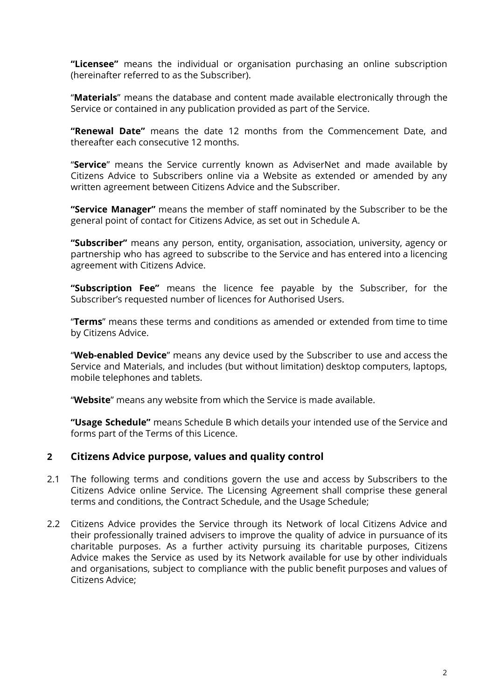**"Licensee"** means the individual or organisation purchasing an online subscription (hereinafter referred to as the Subscriber).

"**Materials**" means the database and content made available electronically through the Service or contained in any publication provided as part of the Service.

**"Renewal Date"** means the date 12 months from the Commencement Date, and thereafter each consecutive 12 months.

"**Service**" means the Service currently known as AdviserNet and made available by Citizens Advice to Subscribers online via a Website as extended or amended by any written agreement between Citizens Advice and the Subscriber.

**"Service Manager"** means the member of staff nominated by the Subscriber to be the general point of contact for Citizens Advice, as set out in Schedule A.

**"Subscriber"** means any person, entity, organisation, association, university, agency or partnership who has agreed to subscribe to the Service and has entered into a licencing agreement with Citizens Advice.

**"Subscription Fee"** means the licence fee payable by the Subscriber, for the Subscriber's requested number of licences for Authorised Users.

"**Terms**" means these terms and conditions as amended or extended from time to time by Citizens Advice.

"**Web-enabled Device**" means any device used by the Subscriber to use and access the Service and Materials, and includes (but without limitation) desktop computers, laptops, mobile telephones and tablets.

"**Website**" means any website from which the Service is made available.

**"Usage Schedule"** means Schedule B which details your intended use of the Service and forms part of the Terms of this Licence.

### **2 Citizens Advice purpose, values and quality control**

- 2.1 The following terms and conditions govern the use and access by Subscribers to the Citizens Advice online Service. The Licensing Agreement shall comprise these general terms and conditions, the Contract Schedule, and the Usage Schedule;
- 2.2 Citizens Advice provides the Service through its Network of local Citizens Advice and their professionally trained advisers to improve the quality of advice in pursuance of its charitable purposes. As a further activity pursuing its charitable purposes, Citizens Advice makes the Service as used by its Network available for use by other individuals and organisations, subject to compliance with the public benefit purposes and values of Citizens Advice;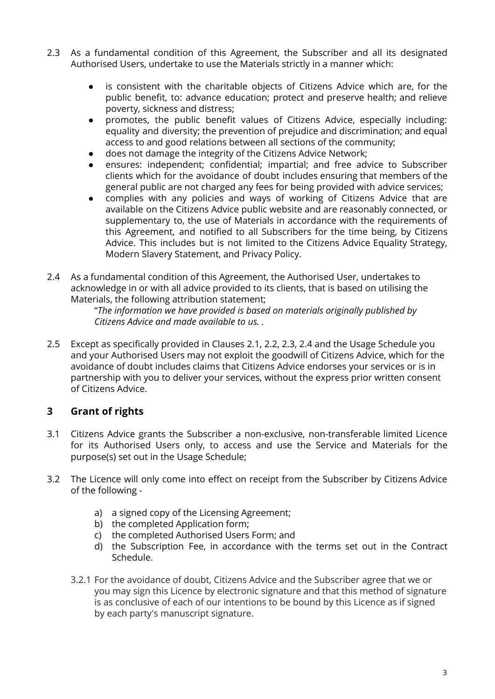- 2.3 As a fundamental condition of this Agreement, the Subscriber and all its designated Authorised Users, undertake to use the Materials strictly in a manner which:
	- is consistent with the charitable objects of Citizens Advice which are, for the public benefit, to: advance education; protect and preserve health; and relieve poverty, sickness and distress;
	- promotes, the public benefit values of Citizens Advice, especially including: equality and diversity; the prevention of prejudice and discrimination; and equal access to and good relations between all sections of the community;
	- does not damage the integrity of the Citizens Advice Network;
	- ensures: independent; confidential; impartial; and free advice to Subscriber clients which for the avoidance of doubt includes ensuring that members of the general public are not charged any fees for being provided with advice services;
	- complies with any policies and ways of working of Citizens Advice that are available on the Citizens Advice public website and are reasonably connected, or supplementary to, the use of Materials in accordance with the requirements of this Agreement, and notified to all Subscribers for the time being, by Citizens Advice. This includes but is not limited to the Citizens Advice Equality Strategy, Modern Slavery Statement, and Privacy Policy.
- 2.4 As a fundamental condition of this Agreement, the Authorised User, undertakes to acknowledge in or with all advice provided to its clients, that is based on utilising the Materials, the following attribution statement;

"*The information we have provided is based on materials originally published by Citizens Advice and made available to us. .*

2.5 Except as specifically provided in Clauses 2.1, 2.2, 2.3, 2.4 and the Usage Schedule you and your Authorised Users may not exploit the goodwill of Citizens Advice, which for the avoidance of doubt includes claims that Citizens Advice endorses your services or is in partnership with you to deliver your services, without the express prior written consent of Citizens Advice.

## **3 Grant of rights**

- 3.1 Citizens Advice grants the Subscriber a non-exclusive, non-transferable limited Licence for its Authorised Users only, to access and use the Service and Materials for the purpose(s) set out in the Usage Schedule;
- 3.2 The Licence will only come into effect on receipt from the Subscriber by Citizens Advice of the following
	- a) a signed copy of the Licensing Agreement;
	- b) the completed Application form;
	- c) the completed Authorised Users Form; and
	- d) the Subscription Fee, in accordance with the terms set out in the Contract Schedule.
	- 3.2.1 For the avoidance of doubt, Citizens Advice and the Subscriber agree that we or you may sign this Licence by electronic signature and that this method of signature is as conclusive of each of our intentions to be bound by this Licence as if signed by each party's manuscript signature.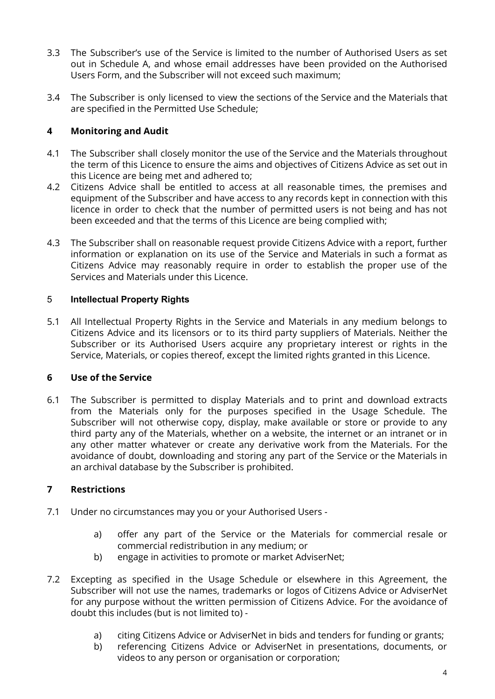- 3.3 The Subscriber's use of the Service is limited to the number of Authorised Users as set out in Schedule A, and whose email addresses have been provided on the Authorised Users Form, and the Subscriber will not exceed such maximum;
- 3.4 The Subscriber is only licensed to view the sections of the Service and the Materials that are specified in the Permitted Use Schedule;

### **4 Monitoring and Audit**

- 4.1 The Subscriber shall closely monitor the use of the Service and the Materials throughout the term of this Licence to ensure the aims and objectives of Citizens Advice as set out in this Licence are being met and adhered to;
- 4.2 Citizens Advice shall be entitled to access at all reasonable times, the premises and equipment of the Subscriber and have access to any records kept in connection with this licence in order to check that the number of permitted users is not being and has not been exceeded and that the terms of this Licence are being complied with;
- 4.3 The Subscriber shall on reasonable request provide Citizens Advice with a report, further information or explanation on its use of the Service and Materials in such a format as Citizens Advice may reasonably require in order to establish the proper use of the Services and Materials under this Licence.

#### 5 **Intellectual Property Rights**

5.1 All Intellectual Property Rights in the Service and Materials in any medium belongs to Citizens Advice and its licensors or to its third party suppliers of Materials. Neither the Subscriber or its Authorised Users acquire any proprietary interest or rights in the Service, Materials, or copies thereof, except the limited rights granted in this Licence.

### **6 Use of the Service**

6.1 The Subscriber is permitted to display Materials and to print and download extracts from the Materials only for the purposes specified in the Usage Schedule. The Subscriber will not otherwise copy, display, make available or store or provide to any third party any of the Materials, whether on a website, the internet or an intranet or in any other matter whatever or create any derivative work from the Materials. For the avoidance of doubt, downloading and storing any part of the Service or the Materials in an archival database by the Subscriber is prohibited.

### **7 Restrictions**

- 7.1 Under no circumstances may you or your Authorised Users
	- a) offer any part of the Service or the Materials for commercial resale or commercial redistribution in any medium; or
	- b) engage in activities to promote or market AdviserNet;
- 7.2 Excepting as specified in the Usage Schedule or elsewhere in this Agreement, the Subscriber will not use the names, trademarks or logos of Citizens Advice or AdviserNet for any purpose without the written permission of Citizens Advice. For the avoidance of doubt this includes (but is not limited to)
	- a) citing Citizens Advice or AdviserNet in bids and tenders for funding or grants;
	- b) referencing Citizens Advice or AdviserNet in presentations, documents, or videos to any person or organisation or corporation;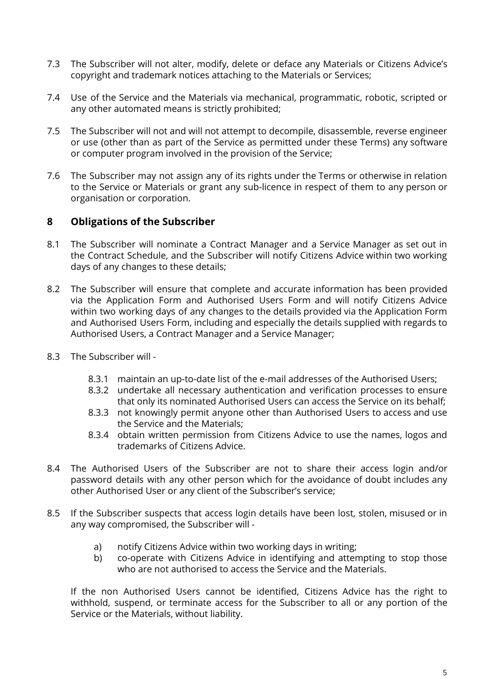- 7.3 The Subscriber will not alter, modify, delete or deface any Materials or Citizens Advice's copyright and trademark notices attaching to the Materials or Services;
- 7.4 Use of the Service and the Materials via mechanical, programmatic, robotic, scripted or any other automated means is strictly prohibited;
- 7.5 The Subscriber will not and will not attempt to decompile, disassemble, reverse engineer or use (other than as part of the Service as permitted under these Terms) any software or computer program involved in the provision of the Service;
- 7.6 The Subscriber may not assign any of its rights under the Terms or otherwise in relation to the Service or Materials or grant any sub-licence in respect of them to any person or organisation or corporation.

## **8 Obligations of the Subscriber**

- 8.1 The Subscriber will nominate a Contract Manager and a Service Manager as set out in the Contract Schedule, and the Subscriber will notify Citizens Advice within two working days of any changes to these details;
- 8.2 The Subscriber will ensure that complete and accurate information has been provided via the Application Form and Authorised Users Form and will notify Citizens Advice within two working days of any changes to the details provided via the Application Form and Authorised Users Form, including and especially the details supplied with regards to Authorised Users, a Contract Manager and a Service Manager;
- 8.3 The Subscriber will
	- 8.3.1 maintain an up-to-date list of the e-mail addresses of the Authorised Users;
	- 8.3.2 undertake all necessary authentication and verification processes to ensure that only its nominated Authorised Users can access the Service on its behalf;
	- 8.3.3 not knowingly permit anyone other than Authorised Users to access and use the Service and the Materials;
	- 8.3.4 obtain written permission from Citizens Advice to use the names, logos and trademarks of Citizens Advice.
- 8.4 The Authorised Users of the Subscriber are not to share their access login and/or password details with any other person which for the avoidance of doubt includes any other Authorised User or any client of the Subscriber's service;
- 8.5 If the Subscriber suspects that access login details have been lost, stolen, misused or in any way compromised, the Subscriber will
	- a) notify Citizens Advice within two working days in writing;
	- b) co-operate with Citizens Advice in identifying and attempting to stop those who are not authorised to access the Service and the Materials.

If the non Authorised Users cannot be identified, Citizens Advice has the right to withhold, suspend, or terminate access for the Subscriber to all or any portion of the Service or the Materials, without liability.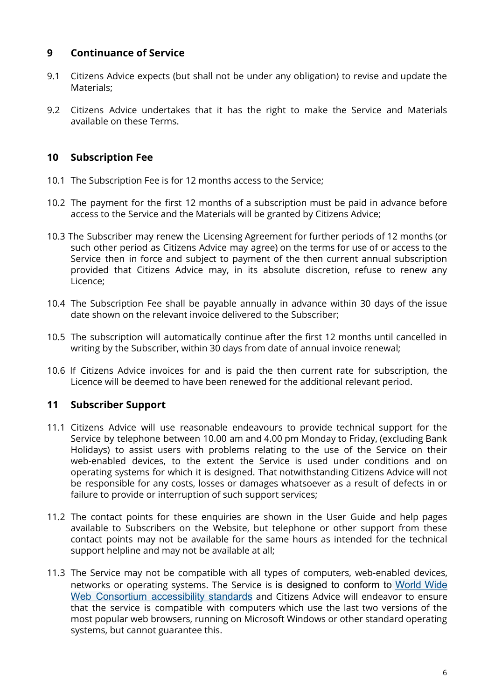## **9 Continuance of Service**

- 9.1 Citizens Advice expects (but shall not be under any obligation) to revise and update the Materials;
- 9.2 Citizens Advice undertakes that it has the right to make the Service and Materials available on these Terms.

### **10 Subscription Fee**

- 10.1 The Subscription Fee is for 12 months access to the Service;
- 10.2 The payment for the first 12 months of a subscription must be paid in advance before access to the Service and the Materials will be granted by Citizens Advice;
- 10.3 The Subscriber may renew the Licensing Agreement for further periods of 12 months (or such other period as Citizens Advice may agree) on the terms for use of or access to the Service then in force and subject to payment of the then current annual subscription provided that Citizens Advice may, in its absolute discretion, refuse to renew any Licence;
- 10.4 The Subscription Fee shall be payable annually in advance within 30 days of the issue date shown on the relevant invoice delivered to the Subscriber;
- 10.5 The subscription will automatically continue after the first 12 months until cancelled in writing by the Subscriber, within 30 days from date of annual invoice renewal;
- 10.6 If Citizens Advice invoices for and is paid the then current rate for subscription, the Licence will be deemed to have been renewed for the additional relevant period.

## **11 Subscriber Support**

- 11.1 Citizens Advice will use reasonable endeavours to provide technical support for the Service by telephone between 10.00 am and 4.00 pm Monday to Friday, (excluding Bank Holidays) to assist users with problems relating to the use of the Service on their web-enabled devices, to the extent the Service is used under conditions and on operating systems for which it is designed. That notwithstanding Citizens Advice will not be responsible for any costs, losses or damages whatsoever as a result of defects in or failure to provide or interruption of such support services;
- 11.2 The contact points for these enquiries are shown in the User Guide and help pages available to Subscribers on the Website, but telephone or other support from these contact points may not be available for the same hours as intended for the technical support helpline and may not be available at all;
- 11.3 The Service may not be compatible with all types of computers, web-enabled devices, networks or operating systems. The Service is is designed to conform to [World](http://www.w3.org/WAI/intro/wcag.php) Wide Web Consortium [accessibility](http://www.w3.org/WAI/intro/wcag.php) standards and Citizens Advice will endeavor to ensure that the service is compatible with computers which use the last two versions of the most popular web browsers, running on Microsoft Windows or other standard operating systems, but cannot guarantee this.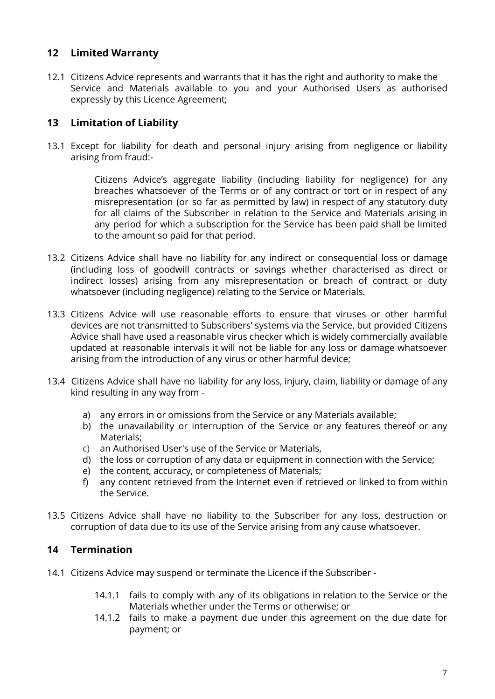### **12 Limited Warranty**

12.1 Citizens Advice represents and warrants that it has the right and authority to make the Service and Materials available to you and your Authorised Users as authorised expressly by this Licence Agreement;

## **13 Limitation of Liability**

13.1 Except for liability for death and personal injury arising from negligence or liability arising from fraud:-

> Citizens Advice's aggregate liability (including liability for negligence) for any breaches whatsoever of the Terms or of any contract or tort or in respect of any misrepresentation (or so far as permitted by law) in respect of any statutory duty for all claims of the Subscriber in relation to the Service and Materials arising in any period for which a subscription for the Service has been paid shall be limited to the amount so paid for that period.

- 13.2 Citizens Advice shall have no liability for any indirect or consequential loss or damage (including loss of goodwill contracts or savings whether characterised as direct or indirect losses) arising from any misrepresentation or breach of contract or duty whatsoever (including negligence) relating to the Service or Materials.
- 13.3 Citizens Advice will use reasonable efforts to ensure that viruses or other harmful devices are not transmitted to Subscribers' systems via the Service, but provided Citizens Advice shall have used a reasonable virus checker which is widely commercially available updated at reasonable intervals it will not be liable for any loss or damage whatsoever arising from the introduction of any virus or other harmful device;
- 13.4 Citizens Advice shall have no liability for any loss, injury, claim, liability or damage of any kind resulting in any way from
	- a) any errors in or omissions from the Service or any Materials available;
	- b) the unavailability or interruption of the Service or any features thereof or any Materials;
	- c) an Authorised User's use of the Service or Materials,
	- d) the loss or corruption of any data or equipment in connection with the Service;
	- e) the content, accuracy, or completeness of Materials;
	- f) any content retrieved from the Internet even if retrieved or linked to from within the Service.
- 13.5 Citizens Advice shall have no liability to the Subscriber for any loss, destruction or corruption of data due to its use of the Service arising from any cause whatsoever.

### **14 Termination**

- 14.1 Citizens Advice may suspend or terminate the Licence if the Subscriber
	- 14.1.1 fails to comply with any of its obligations in relation to the Service or the Materials whether under the Terms or otherwise; or
	- 14.1.2 fails to make a payment due under this agreement on the due date for payment; or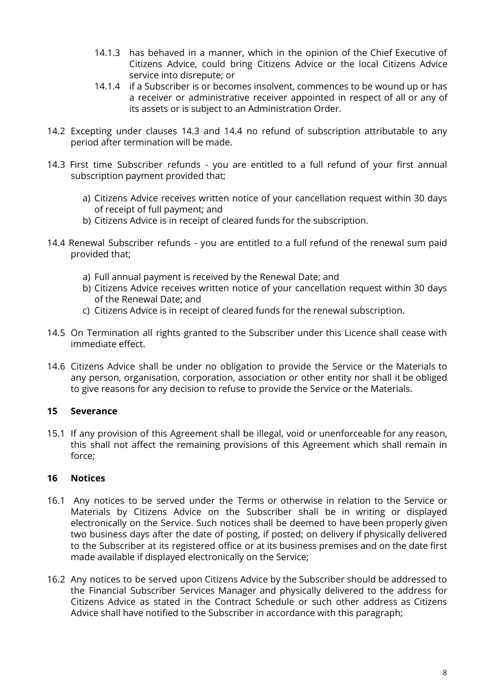- 14.1.3 has behaved in a manner, which in the opinion of the Chief Executive of Citizens Advice, could bring Citizens Advice or the local Citizens Advice service into disrepute; or
- 14.1.4 if a Subscriber is or becomes insolvent, commences to be wound up or has a receiver or administrative receiver appointed in respect of all or any of its assets or is subject to an Administration Order.
- 14.2 Excepting under clauses 14.3 and 14.4 no refund of subscription attributable to any period after termination will be made.
- 14.3 First time Subscriber refunds you are entitled to a full refund of your first annual subscription payment provided that;
	- a) Citizens Advice receives written notice of your cancellation request within 30 days of receipt of full payment; and
	- b) Citizens Advice is in receipt of cleared funds for the subscription.
- 14.4 Renewal Subscriber refunds you are entitled to a full refund of the renewal sum paid provided that;
	- a) Full annual payment is received by the Renewal Date; and
	- b) Citizens Advice receives written notice of your cancellation request within 30 days of the Renewal Date; and
	- c) Citizens Advice is in receipt of cleared funds for the renewal subscription.
- 14.5 On Termination all rights granted to the Subscriber under this Licence shall cease with immediate effect.
- 14.6 Citizens Advice shall be under no obligation to provide the Service or the Materials to any person, organisation, corporation, association or other entity nor shall it be obliged to give reasons for any decision to refuse to provide the Service or the Materials.

#### **15 Severance**

15.1 If any provision of this Agreement shall be illegal, void or unenforceable for any reason, this shall not affect the remaining provisions of this Agreement which shall remain in force;

#### **16 Notices**

- 16.1 Any notices to be served under the Terms or otherwise in relation to the Service or Materials by Citizens Advice on the Subscriber shall be in writing or displayed electronically on the Service. Such notices shall be deemed to have been properly given two business days after the date of posting, if posted; on delivery if physically delivered to the Subscriber at its registered office or at its business premises and on the date first made available if displayed electronically on the Service;
- 16.2 Any notices to be served upon Citizens Advice by the Subscriber should be addressed to the Financial Subscriber Services Manager and physically delivered to the address for Citizens Advice as stated in the Contract Schedule or such other address as Citizens Advice shall have notified to the Subscriber in accordance with this paragraph;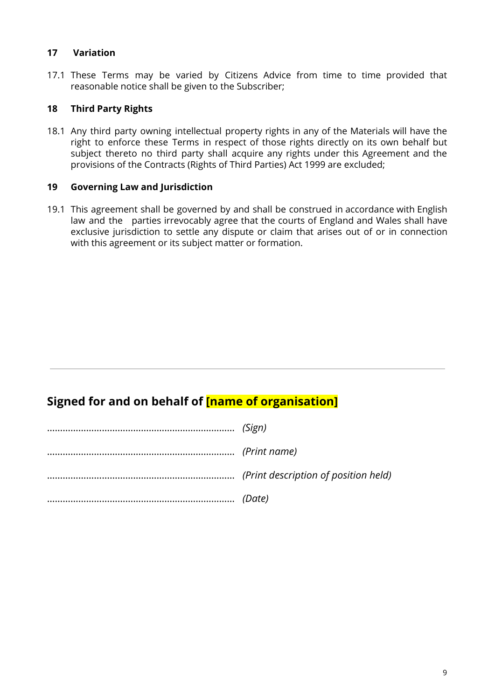#### **17 Variation**

17.1 These Terms may be varied by Citizens Advice from time to time provided that reasonable notice shall be given to the Subscriber;

#### **18 Third Party Rights**

18.1 Any third party owning intellectual property rights in any of the Materials will have the right to enforce these Terms in respect of those rights directly on its own behalf but subject thereto no third party shall acquire any rights under this Agreement and the provisions of the Contracts (Rights of Third Parties) Act 1999 are excluded;

#### **19 Governing Law and Jurisdiction**

19.1 This agreement shall be governed by and shall be construed in accordance with English law and the parties irrevocably agree that the courts of England and Wales shall have exclusive jurisdiction to settle any dispute or claim that arises out of or in connection with this agreement or its subject matter or formation.

## **Signed for and on behalf of [name of organisation]**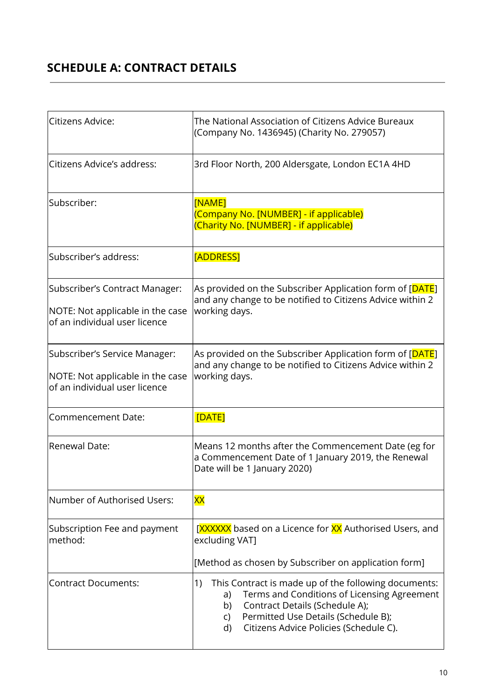# **SCHEDULE A: CONTRACT DETAILS**

| Citizens Advice:                                                                                    | The National Association of Citizens Advice Bureaux<br>(Company No. 1436945) (Charity No. 279057)                                                                                                                                                    |  |
|-----------------------------------------------------------------------------------------------------|------------------------------------------------------------------------------------------------------------------------------------------------------------------------------------------------------------------------------------------------------|--|
| Citizens Advice's address:                                                                          | 3rd Floor North, 200 Aldersgate, London EC1A 4HD                                                                                                                                                                                                     |  |
| Subscriber:                                                                                         | [NAME]<br>(Company No. [NUMBER] - if applicable)<br>(Charity No. [NUMBER] - if applicable)                                                                                                                                                           |  |
| Subscriber's address:                                                                               | <b>[ADDRESS]</b>                                                                                                                                                                                                                                     |  |
| Subscriber's Contract Manager:<br>NOTE: Not applicable in the case<br>of an individual user licence | As provided on the Subscriber Application form of [ <mark>DATE</mark> ]<br>and any change to be notified to Citizens Advice within 2<br>working days.                                                                                                |  |
| Subscriber's Service Manager:<br>NOTE: Not applicable in the case<br>of an individual user licence  | As provided on the Subscriber Application form of [DATE]<br>and any change to be notified to Citizens Advice within 2<br>working days.                                                                                                               |  |
| Commencement Date:                                                                                  | [DATE]                                                                                                                                                                                                                                               |  |
| Renewal Date:                                                                                       | Means 12 months after the Commencement Date (eg for<br>a Commencement Date of 1 January 2019, the Renewal<br>Date will be 1 January 2020)                                                                                                            |  |
| Number of Authorised Users:                                                                         | XХ                                                                                                                                                                                                                                                   |  |
| Subscription Fee and payment<br>method:                                                             | [XXXXXX based on a Licence for XX Authorised Users, and<br>excluding VAT]<br>[Method as chosen by Subscriber on application form]                                                                                                                    |  |
| <b>Contract Documents:</b>                                                                          | 1)<br>This Contract is made up of the following documents:<br>Terms and Conditions of Licensing Agreement<br>a)<br>Contract Details (Schedule A);<br>b)<br>Permitted Use Details (Schedule B);<br>C)<br>Citizens Advice Policies (Schedule C).<br>d) |  |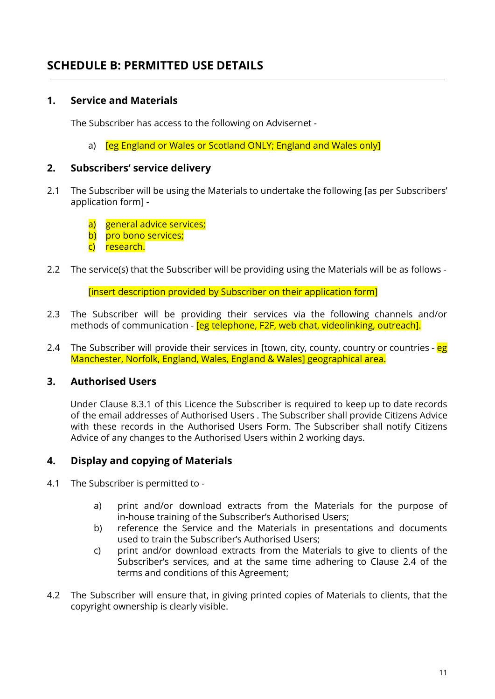## **SCHEDULE B: PERMITTED USE DETAILS**

### **1. Service and Materials**

The Subscriber has access to the following on Advisernet -

a) **Feg England or Wales or Scotland ONLY; England and Wales only** 

#### **2. Subscribers' service delivery**

- 2.1 The Subscriber will be using the Materials to undertake the following [as per Subscribers' application form]
	- a) general advice services;
	- b) pro bono services;
	- c) research.
- 2.2 The service(s) that the Subscriber will be providing using the Materials will be as follows -

[insert description provided by Subscriber on their application form]

- 2.3 The Subscriber will be providing their services via the following channels and/or methods of communication - [eg telephone, F2F, web chat, videolinking, outreach].
- 2.4 The Subscriber will provide their services in [town, city, county, country or countries eg Manchester, Norfolk, England, Wales, England & Wales] geographical area.

### **3. Authorised Users**

Under Clause 8.3.1 of this Licence the Subscriber is required to keep up to date records of the email addresses of Authorised Users . The Subscriber shall provide Citizens Advice with these records in the Authorised Users Form. The Subscriber shall notify Citizens Advice of any changes to the Authorised Users within 2 working days.

### **4. Display and copying of Materials**

- 4.1 The Subscriber is permitted to
	- a) print and/or download extracts from the Materials for the purpose of in-house training of the Subscriber's Authorised Users;
	- b) reference the Service and the Materials in presentations and documents used to train the Subscriber's Authorised Users;
	- c) print and/or download extracts from the Materials to give to clients of the Subscriber's services, and at the same time adhering to Clause 2.4 of the terms and conditions of this Agreement;
- 4.2 The Subscriber will ensure that, in giving printed copies of Materials to clients, that the copyright ownership is clearly visible.